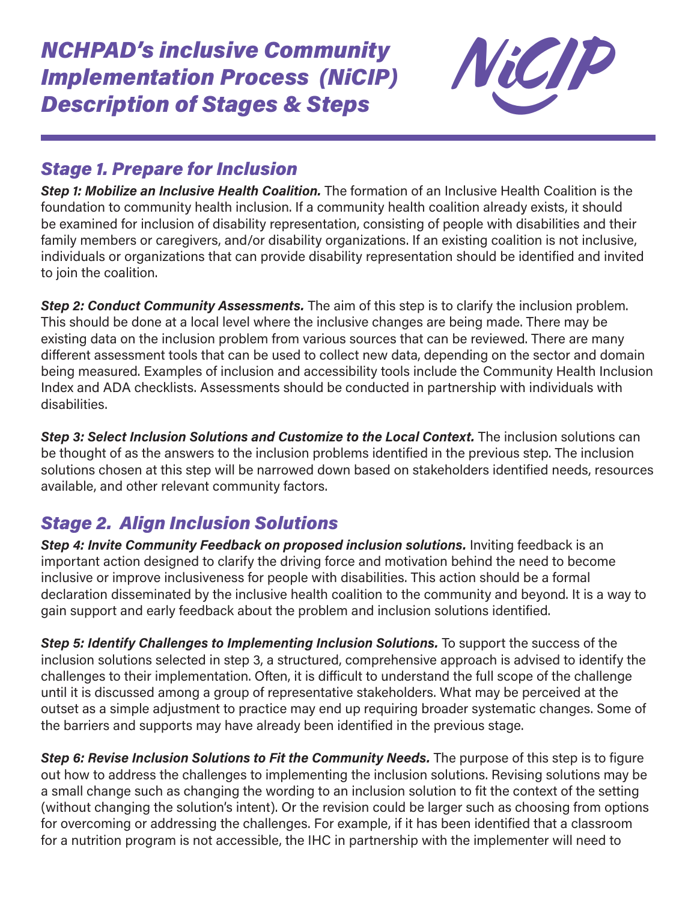

## *Stage 1. Prepare for Inclusion*

*Step 1: Mobilize an Inclusive Health Coalition.* The formation of an Inclusive Health Coalition is the foundation to community health inclusion. If a community health coalition already exists, it should be examined for inclusion of disability representation, consisting of people with disabilities and their family members or caregivers, and/or disability organizations. If an existing coalition is not inclusive, individuals or organizations that can provide disability representation should be identified and invited to join the coalition.

*Step 2: Conduct Community Assessments.* The aim of this step is to clarify the inclusion problem. This should be done at a local level where the inclusive changes are being made. There may be existing data on the inclusion problem from various sources that can be reviewed. There are many different assessment tools that can be used to collect new data, depending on the sector and domain being measured. Examples of inclusion and accessibility tools include the Community Health Inclusion Index and ADA checklists. Assessments should be conducted in partnership with individuals with disabilities.

*Step 3: Select Inclusion Solutions and Customize to the Local Context.* The inclusion solutions can be thought of as the answers to the inclusion problems identified in the previous step. The inclusion solutions chosen at this step will be narrowed down based on stakeholders identified needs, resources available, and other relevant community factors.

## *Stage 2. Align Inclusion Solutions*

*Step 4: Invite Community Feedback on proposed inclusion solutions.* Inviting feedback is an important action designed to clarify the driving force and motivation behind the need to become inclusive or improve inclusiveness for people with disabilities. This action should be a formal declaration disseminated by the inclusive health coalition to the community and beyond. It is a way to gain support and early feedback about the problem and inclusion solutions identified.

*Step 5: Identify Challenges to Implementing Inclusion Solutions.* To support the success of the inclusion solutions selected in step 3, a structured, comprehensive approach is advised to identify the challenges to their implementation. Often, it is difficult to understand the full scope of the challenge until it is discussed among a group of representative stakeholders. What may be perceived at the outset as a simple adjustment to practice may end up requiring broader systematic changes. Some of the barriers and supports may have already been identified in the previous stage.

*Step 6: Revise Inclusion Solutions to Fit the Community Needs.* The purpose of this step is to figure out how to address the challenges to implementing the inclusion solutions. Revising solutions may be a small change such as changing the wording to an inclusion solution to fit the context of the setting (without changing the solution's intent). Or the revision could be larger such as choosing from options for overcoming or addressing the challenges. For example, if it has been identified that a classroom for a nutrition program is not accessible, the IHC in partnership with the implementer will need to